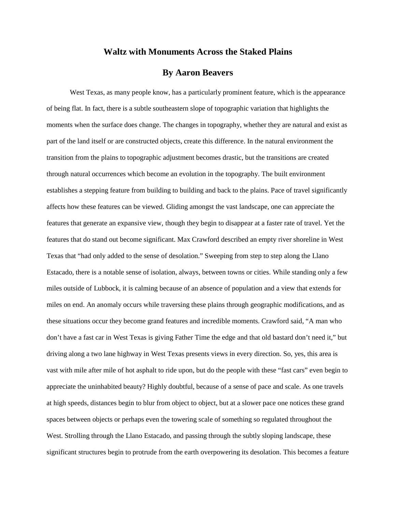## **Waltz with Monuments Across the Staked Plains**

## **By Aaron Beavers**

West Texas, as many people know, has a particularly prominent feature, which is the appearance of being flat. In fact, there is a subtle southeastern slope of topographic variation that highlights the moments when the surface does change. The changes in topography, whether they are natural and exist as part of the land itself or are constructed objects, create this difference. In the natural environment the transition from the plains to topographic adjustment becomes drastic, but the transitions are created through natural occurrences which become an evolution in the topography. The built environment establishes a stepping feature from building to building and back to the plains. Pace of travel significantly affects how these features can be viewed. Gliding amongst the vast landscape, one can appreciate the features that generate an expansive view, though they begin to disappear at a faster rate of travel. Yet the features that do stand out become significant. Max Crawford described an empty river shoreline in West Texas that "had only added to the sense of desolation." Sweeping from step to step along the Llano Estacado, there is a notable sense of isolation, always, between towns or cities. While standing only a few miles outside of Lubbock, it is calming because of an absence of population and a view that extends for miles on end. An anomaly occurs while traversing these plains through geographic modifications, and as these situations occur they become grand features and incredible moments. Crawford said, "A man who don't have a fast car in West Texas is giving Father Time the edge and that old bastard don't need it," but driving along a two lane highway in West Texas presents views in every direction. So, yes, this area is vast with mile after mile of hot asphalt to ride upon, but do the people with these "fast cars" even begin to appreciate the uninhabited beauty? Highly doubtful, because of a sense of pace and scale. As one travels at high speeds, distances begin to blur from object to object, but at a slower pace one notices these grand spaces between objects or perhaps even the towering scale of something so regulated throughout the West. Strolling through the Llano Estacado, and passing through the subtly sloping landscape, these significant structures begin to protrude from the earth overpowering its desolation. This becomes a feature